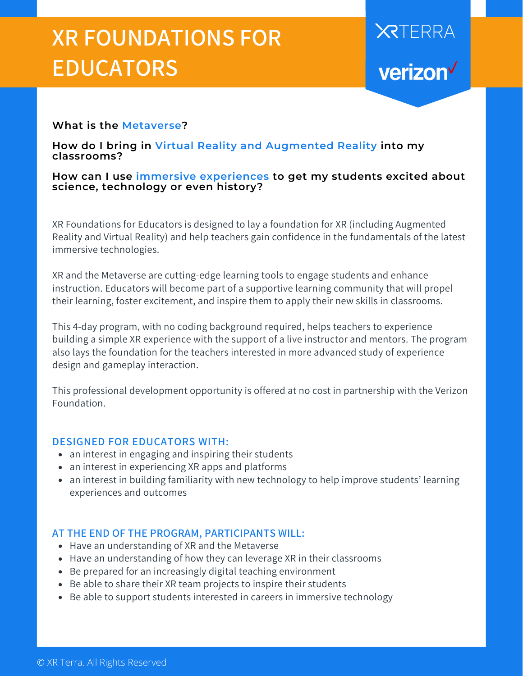## **XR FOUNDATIONS FOR EDUCATORS**

# **XRTERRA** verizon<sup>V</sup>

#### **What is the Metaverse?**

**How do I bring in Virtual Reality and Augmented Reality into my classrooms?**

**How can I use immersive experiences to get my students excited about science, technology or even history?**

XR Foundations for Educators is designed to lay a foundation for XR (including Augmented Reality and Virtual Reality) and help teachers gain confidence in the fundamentals of the latest immersive technologies.

XR and the Metaverse are cutting-edge learning tools to engage students and enhance instruction. Educators will become part of a supportive learning community that will propel their learning, foster excitement, and inspire them to apply their new skills in classrooms.

This 4-day program, with no coding background required, helps teachers to experience building a simple XR experience with the support of a live instructor and mentors. The program also lays the foundation for the teachers interested in more advanced study of experience design and gameplay interaction.

This professional development opportunity is offered at no cost in partnership with the Verizon Foundation.

#### **DESIGNED FOR EDUCATORS WITH:**

- an interest in engaging and inspiring their students
- an interest in experiencing XR apps and platforms
- an interest in building familiarity with new technology to help improve students' learning experiences and outcomes

#### **AT THE END OF THE PROGRAM, PARTICIPANTS WILL:**

- Have an understanding of XR and the Metaverse
- Have an understanding of how they can leverage XR in their classrooms
- Be prepared for an increasingly digital teaching environment
- Be able to share their XR team projects to inspire their students
- Be able to support students interested in careers in immersive technology